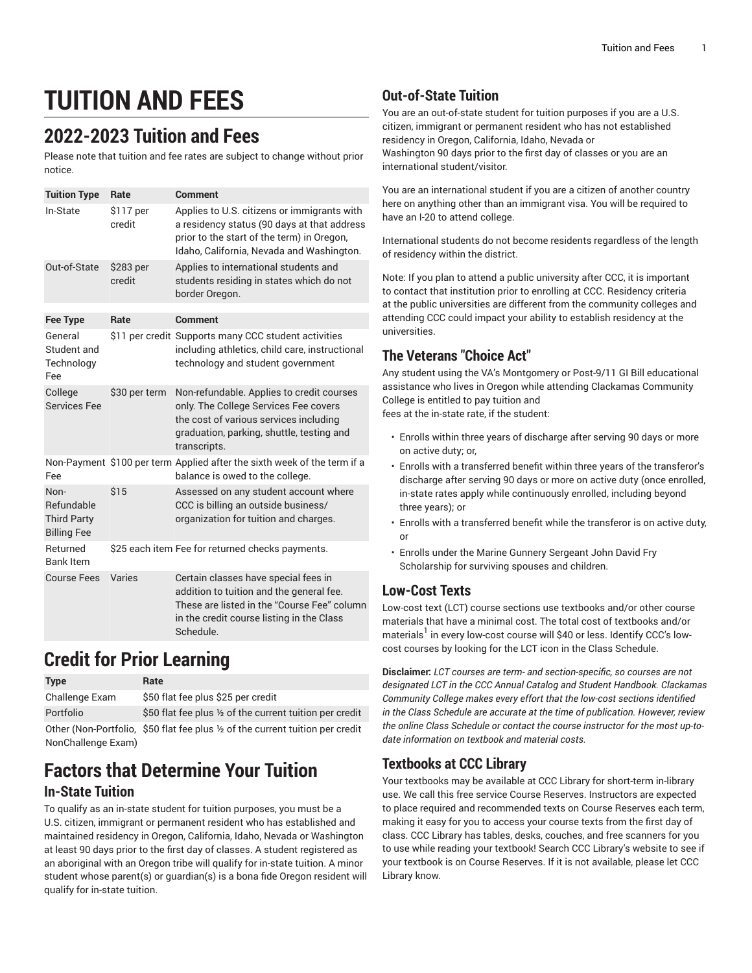# **TUITION AND FEES**

# **2022-2023 Tuition and Fees**

Please note that tuition and fee rates are subject to change without prior notice.

| <b>Tuition Type</b>                                                   | Rate                | Comment                                                                                                                                                                                   |
|-----------------------------------------------------------------------|---------------------|-------------------------------------------------------------------------------------------------------------------------------------------------------------------------------------------|
| In-State                                                              | \$117 per<br>credit | Applies to U.S. citizens or immigrants with<br>a residency status (90 days at that address<br>prior to the start of the term) in Oregon,<br>Idaho, California, Nevada and Washington.     |
| Out-of-State                                                          | \$283 per<br>credit | Applies to international students and<br>students residing in states which do not<br>border Oregon.                                                                                       |
| <b>Fee Type</b>                                                       | Rate                | Comment                                                                                                                                                                                   |
| General<br>Student and<br>Technology<br>Fee                           |                     | \$11 per credit Supports many CCC student activities<br>including athletics, child care, instructional<br>technology and student government                                               |
| College<br>Services Fee                                               | \$30 per term       | Non-refundable. Applies to credit courses<br>only. The College Services Fee covers<br>the cost of various services including<br>graduation, parking, shuttle, testing and<br>transcripts. |
| Fee                                                                   |                     | Non-Payment \$100 per term Applied after the sixth week of the term if a<br>balance is owed to the college.                                                                               |
| Non-<br><b>Refundable</b><br><b>Third Party</b><br><b>Billing Fee</b> | \$15                | Assessed on any student account where<br>CCC is billing an outside business/<br>organization for tuition and charges.                                                                     |
| Returned<br><b>Bank Item</b>                                          |                     | \$25 each item Fee for returned checks payments.                                                                                                                                          |
| <b>Course Fees</b>                                                    | Varies              | Certain classes have special fees in<br>addition to tuition and the general fee.<br>These are listed in the "Course Fee" column<br>in the credit course listing in the Class<br>Schedule. |

# **Credit for Prior Learning**

| <b>Type</b>        | Rate                                                                           |
|--------------------|--------------------------------------------------------------------------------|
| Challenge Exam     | \$50 flat fee plus \$25 per credit                                             |
| Portfolio          | \$50 flat fee plus 1/2 of the current tuition per credit                       |
|                    | Other (Non-Portfolio, \$50 flat fee plus 1/2 of the current tuition per credit |
| NonChallenge Exam) |                                                                                |

# **Factors that Determine Your Tuition**

#### **In-State Tuition**

To qualify as an in-state student for tuition purposes, you must be a U.S. citizen, immigrant or permanent resident who has established and maintained residency in Oregon, California, Idaho, Nevada or Washington at least 90 days prior to the first day of classes. A student registered as an aboriginal with an Oregon tribe will qualify for in-state tuition. A minor student whose parent(s) or guardian(s) is a bona fide Oregon resident will qualify for in-state tuition.

## **Out-of-State Tuition**

You are an out-of-state student for tuition purposes if you are a U.S. citizen, immigrant or permanent resident who has not established residency in Oregon, California, Idaho, Nevada or Washington 90 days prior to the first day of classes or you are an international student/visitor.

You are an international student if you are a citizen of another country here on anything other than an immigrant visa. You will be required to have an I-20 to attend college.

International students do not become residents regardless of the length of residency within the district.

Note: If you plan to attend a public university after CCC, it is important to contact that institution prior to enrolling at CCC. Residency criteria at the public universities are different from the community colleges and attending CCC could impact your ability to establish residency at the universities.

## **The Veterans "Choice Act"**

Any student using the VA's Montgomery or Post-9/11 GI Bill educational assistance who lives in Oregon while attending Clackamas Community College is entitled to pay tuition and

fees at the in-state rate, if the student:

- Enrolls within three years of discharge after serving 90 days or more on active duty; or,
- Enrolls with a transferred benefit within three years of the transferor's discharge after serving 90 days or more on active duty (once enrolled, in-state rates apply while continuously enrolled, including beyond three years); or
- Enrolls with a transferred benefit while the transferor is on active duty, or
- Enrolls under the Marine Gunnery Sergeant John David Fry Scholarship for surviving spouses and children.

### **Low-Cost Texts**

Low-cost text (LCT) course sections use textbooks and/or other course materials that have a minimal cost. The total cost of textbooks and/or materials $^{\rm l}$  in every low-cost course will \$40 or less. Identify CCC's lowcost courses by looking for the LCT icon in the Class Schedule.

**Disclaimer:** *LCT courses are term- and section-specific, so courses are not designated LCT in the CCC Annual Catalog and Student Handbook. Clackamas Community College makes every effort that the low-cost sections identified in the Class Schedule are accurate at the time of publication. However, review the online Class Schedule or contact the course instructor for the most up-todate information on textbook and material costs.*

## **Textbooks at CCC Library**

Your textbooks may be available at CCC Library for short-term in-library use. We call this free service Course Reserves. Instructors are expected to place required and recommended texts on Course Reserves each term, making it easy for you to access your course texts from the first day of class. CCC Library has tables, desks, couches, and free scanners for you to use while reading your textbook! Search CCC Library's website to see if your textbook is on Course Reserves. If it is not available, please let CCC Library know.